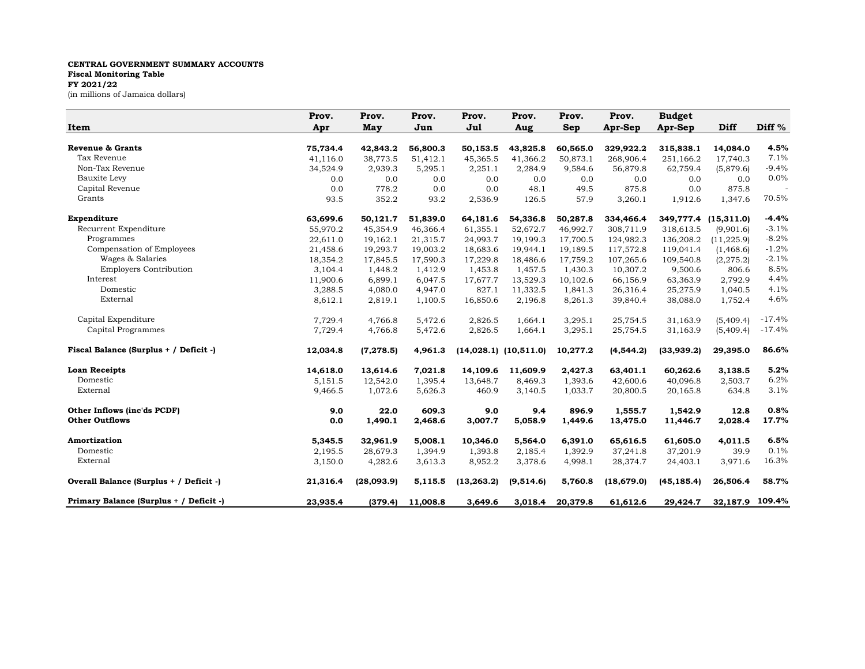## **CENTRAL GOVERNMENT SUMMARY ACCOUNTS Fiscal Monitoring Table FY 2021/22** (in millions of Jamaica dollars)

| Item                                    | Prov.<br>Apr | Prov.<br>May | Prov.<br>Jun | Prov.<br>Jul | Prov.<br>Aug              | Prov.<br><b>Sep</b> | Prov.<br>Apr-Sep | <b>Budget</b><br>Apr-Sep | Diff        | Diff <sup>%</sup> |
|-----------------------------------------|--------------|--------------|--------------|--------------|---------------------------|---------------------|------------------|--------------------------|-------------|-------------------|
|                                         |              |              |              |              |                           |                     |                  |                          |             |                   |
| <b>Revenue &amp; Grants</b>             | 75,734.4     | 42,843.2     | 56,800.3     | 50,153.5     | 43,825.8                  | 60,565.0            | 329,922.2        | 315,838.1                | 14,084.0    | 4.5%              |
| Tax Revenue                             | 41,116.0     | 38,773.5     | 51,412.1     | 45,365.5     | 41,366.2                  | 50,873.1            | 268,906.4        | 251,166.2                | 17,740.3    | 7.1%              |
| Non-Tax Revenue                         | 34,524.9     | 2,939.3      | 5,295.1      | 2,251.1      | 2,284.9                   | 9,584.6             | 56,879.8         | 62,759.4                 | (5,879.6)   | $-9.4%$           |
| Bauxite Levy                            | 0.0          | 0.0          | 0.0          | 0.0          | 0.0                       | 0.0                 | 0.0              | 0.0                      | 0.0         | 0.0%              |
| Capital Revenue                         | 0.0          | 778.2        | 0.0          | 0.0          | 48.1                      | 49.5                | 875.8            | 0.0                      | 875.8       |                   |
| Grants                                  | 93.5         | 352.2        | 93.2         | 2,536.9      | 126.5                     | 57.9                | 3,260.1          | 1,912.6                  | 1,347.6     | 70.5%             |
| Expenditure                             | 63,699.6     | 50,121.7     | 51,839.0     | 64,181.6     | 54,336.8                  | 50,287.8            | 334,466.4        | 349,777.4                | (15, 311.0) | $-4.4%$           |
| Recurrent Expenditure                   | 55,970.2     | 45,354.9     | 46,366.4     | 61,355.1     | 52,672.7                  | 46,992.7            | 308,711.9        | 318,613.5                | (9,901.6)   | $-3.1%$           |
| Programmes                              | 22,611.0     | 19,162.1     | 21,315.7     | 24,993.7     | 19,199.3                  | 17,700.5            | 124,982.3        | 136,208.2                | (11, 225.9) | $-8.2%$           |
| Compensation of Employees               | 21,458.6     | 19,293.7     | 19,003.2     | 18,683.6     | 19,944.1                  | 19,189.5            | 117,572.8        | 119,041.4                | (1,468.6)   | $-1.2%$           |
| Wages & Salaries                        | 18,354.2     | 17,845.5     | 17,590.3     | 17,229.8     | 18,486.6                  | 17,759.2            | 107,265.6        | 109,540.8                | (2, 275.2)  | $-2.1%$           |
| <b>Employers Contribution</b>           | 3,104.4      | 1,448.2      | 1,412.9      | 1,453.8      | 1,457.5                   | 1,430.3             | 10,307.2         | 9,500.6                  | 806.6       | 8.5%              |
| Interest                                | 11,900.6     | 6,899.1      | 6,047.5      | 17,677.7     | 13,529.3                  | 10,102.6            | 66,156.9         | 63,363.9                 | 2,792.9     | 4.4%              |
| Domestic                                | 3,288.5      | 4,080.0      | 4,947.0      | 827.1        | 11,332.5                  | 1,841.3             | 26,316.4         | 25,275.9                 | 1,040.5     | 4.1%              |
| External                                | 8,612.1      | 2,819.1      | 1,100.5      | 16,850.6     | 2,196.8                   | 8,261.3             | 39,840.4         | 38,088.0                 | 1,752.4     | 4.6%              |
| Capital Expenditure                     | 7,729.4      | 4,766.8      | 5,472.6      | 2,826.5      | 1,664.1                   | 3,295.1             | 25,754.5         | 31,163.9                 | (5,409.4)   | $-17.4%$          |
| Capital Programmes                      | 7,729.4      | 4,766.8      | 5,472.6      | 2,826.5      | 1,664.1                   | 3,295.1             | 25,754.5         | 31,163.9                 | (5,409.4)   | $-17.4%$          |
| Fiscal Balance (Surplus + / Deficit -)  | 12,034.8     | (7, 278.5)   | 4,961.3      |              | $(14,028.1)$ $(10,511.0)$ | 10,277.2            | (4, 544.2)       | (33,939.2)               | 29,395.0    | 86.6%             |
| <b>Loan Receipts</b>                    | 14,618.0     | 13,614.6     | 7,021.8      | 14,109.6     | 11,609.9                  | 2,427.3             | 63,401.1         | 60,262.6                 | 3,138.5     | 5.2%              |
| Domestic                                | 5,151.5      | 12,542.0     | 1,395.4      | 13,648.7     | 8,469.3                   | 1,393.6             | 42,600.6         | 40,096.8                 | 2,503.7     | 6.2%              |
| External                                | 9,466.5      | 1,072.6      | 5,626.3      | 460.9        | 3,140.5                   | 1,033.7             | 20,800.5         | 20,165.8                 | 634.8       | 3.1%              |
| Other Inflows (inc'ds PCDF)             | 9.0          | 22.0         | 609.3        | 9.0          | 9.4                       | 896.9               | 1,555.7          | 1,542.9                  | 12.8        | 0.8%              |
| <b>Other Outflows</b>                   | 0.0          | 1,490.1      | 2,468.6      | 3,007.7      | 5,058.9                   | 1,449.6             | 13,475.0         | 11,446.7                 | 2,028.4     | 17.7%             |
| Amortization                            | 5,345.5      | 32,961.9     | 5,008.1      | 10,346.0     | 5,564.0                   | 6,391.0             | 65,616.5         | 61,605.0                 | 4,011.5     | 6.5%              |
| Domestic                                | 2,195.5      | 28,679.3     | 1,394.9      | 1,393.8      | 2,185.4                   | 1,392.9             | 37,241.8         | 37,201.9                 | 39.9        | 0.1%              |
| External                                | 3,150.0      | 4,282.6      | 3,613.3      | 8,952.2      | 3,378.6                   | 4,998.1             | 28,374.7         | 24,403.1                 | 3,971.6     | 16.3%             |
| Overall Balance (Surplus + / Deficit -) | 21,316.4     | (28,093.9)   | 5,115.5      | (13, 263.2)  | (9,514.6)                 | 5,760.8             | (18, 679.0)      | (45, 185.4)              | 26,506.4    | 58.7%             |
| Primary Balance (Surplus + / Deficit -) | 23,935.4     | (379.4)      | 11,008.8     | 3,649.6      | 3,018.4                   | 20,379.8            | 61,612.6         | 29,424.7                 | 32,187.9    | 109.4%            |